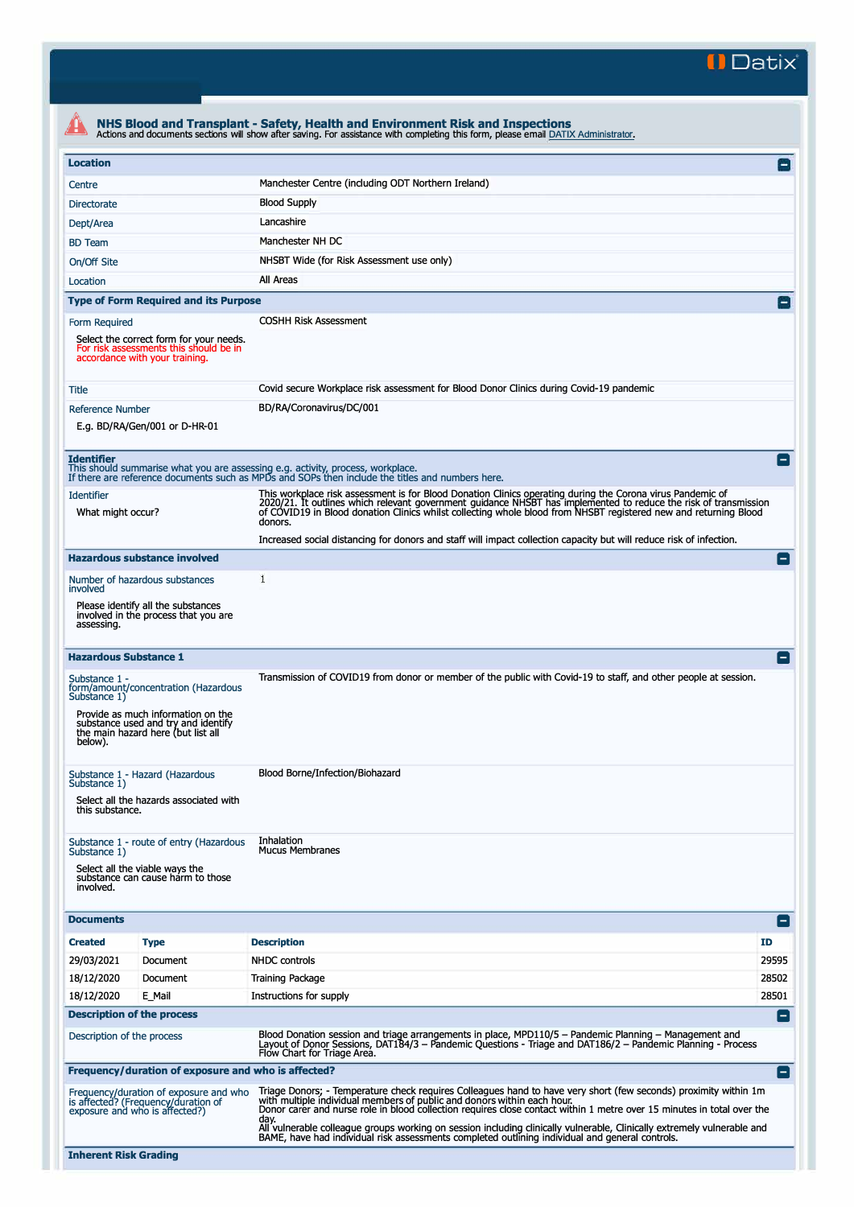**II Datix"** 

|                                                                                                                                                                                                     | NHS Blood and Transplant - Safety, Health and Environment Risk and Inspections<br>Actions and documents sections will show after saving. For assistance with completing this form, please email DATIX Administrator.                                                                                                                                                                                                                                                                                                                                        |                |
|-----------------------------------------------------------------------------------------------------------------------------------------------------------------------------------------------------|-------------------------------------------------------------------------------------------------------------------------------------------------------------------------------------------------------------------------------------------------------------------------------------------------------------------------------------------------------------------------------------------------------------------------------------------------------------------------------------------------------------------------------------------------------------|----------------|
| <b>Location</b>                                                                                                                                                                                     |                                                                                                                                                                                                                                                                                                                                                                                                                                                                                                                                                             | $\Box$         |
| Centre                                                                                                                                                                                              | Manchester Centre (including ODT Northern Ireland)                                                                                                                                                                                                                                                                                                                                                                                                                                                                                                          |                |
| Directorate                                                                                                                                                                                         | <b>Blood Supply</b>                                                                                                                                                                                                                                                                                                                                                                                                                                                                                                                                         |                |
| Dept/Area                                                                                                                                                                                           | Lancashire                                                                                                                                                                                                                                                                                                                                                                                                                                                                                                                                                  |                |
| <b>BD</b> Team                                                                                                                                                                                      | Manchester NH DC                                                                                                                                                                                                                                                                                                                                                                                                                                                                                                                                            |                |
| On/Off Site                                                                                                                                                                                         | NHSBT Wide (for Risk Assessment use only)                                                                                                                                                                                                                                                                                                                                                                                                                                                                                                                   |                |
| Location                                                                                                                                                                                            | All Areas                                                                                                                                                                                                                                                                                                                                                                                                                                                                                                                                                   |                |
| <b>Type of Form Required and its Purpose</b>                                                                                                                                                        |                                                                                                                                                                                                                                                                                                                                                                                                                                                                                                                                                             | $\Box$         |
| Form Required<br>Select the correct form for your needs.<br>For risk assessments this should be in<br>accordance with your training.                                                                | <b>COSHH Risk Assessment</b>                                                                                                                                                                                                                                                                                                                                                                                                                                                                                                                                |                |
| <b>Title</b>                                                                                                                                                                                        | Covid secure Workplace risk assessment for Blood Donor Clinics during Covid-19 pandemic                                                                                                                                                                                                                                                                                                                                                                                                                                                                     |                |
| <b>Reference Number</b>                                                                                                                                                                             | BD/RA/Coronavirus/DC/001                                                                                                                                                                                                                                                                                                                                                                                                                                                                                                                                    |                |
| E.g. BD/RA/Gen/001 or D-HR-01                                                                                                                                                                       |                                                                                                                                                                                                                                                                                                                                                                                                                                                                                                                                                             |                |
| <b>Identifier</b><br>This should summarise what you are assessing e.g. activity, process, workplace.                                                                                                | If there are reference documents such as MPDs and SOPs then include the titles and numbers here.                                                                                                                                                                                                                                                                                                                                                                                                                                                            |                |
| <b>Identifier</b><br>What might occur?                                                                                                                                                              | This workplace risk assessment is for Blood Donation Clinics operating during the Corona virus Pandemic of<br>2020/21. It outlines which relevant government guidance NHSBT has implemented to reduce the risk of transmission<br>of COVID19 in Blood donation Clinics whilst collecting whole blood from NHSBT registered new and returning Blood<br>donors.                                                                                                                                                                                               |                |
|                                                                                                                                                                                                     | Increased social distancing for donors and staff will impact collection capacity but will reduce risk of infection.                                                                                                                                                                                                                                                                                                                                                                                                                                         |                |
| <b>Hazardous substance involved</b>                                                                                                                                                                 |                                                                                                                                                                                                                                                                                                                                                                                                                                                                                                                                                             |                |
| Number of hazardous substances<br>involved                                                                                                                                                          | 1                                                                                                                                                                                                                                                                                                                                                                                                                                                                                                                                                           |                |
| Please identify all the substances<br>involved in the process that you are<br>assessing.                                                                                                            |                                                                                                                                                                                                                                                                                                                                                                                                                                                                                                                                                             |                |
| <b>Hazardous Substance 1</b>                                                                                                                                                                        |                                                                                                                                                                                                                                                                                                                                                                                                                                                                                                                                                             |                |
| Substance 1 -<br>form/amount/concentration (Hazardous<br>Substance 1)<br>Provide as much information on the<br>substance used and try and identify<br>the main hazard here (but list all<br>below). | Transmission of COVID19 from donor or member of the public with Covid-19 to staff, and other people at session.                                                                                                                                                                                                                                                                                                                                                                                                                                             |                |
| Substance 1 - Hazard (Hazardous<br>Substance 1)<br>Select all the hazards associated with<br>this substance.                                                                                        | Blood Borne/Infection/Biohazard                                                                                                                                                                                                                                                                                                                                                                                                                                                                                                                             |                |
| Substance 1 - route of entry (Hazardous<br>Substance 1)<br>Select all the viable ways the<br>substance can cause harm to those<br>involved.                                                         | Inhalation<br><b>Mucus Membranes</b>                                                                                                                                                                                                                                                                                                                                                                                                                                                                                                                        |                |
| <b>Documents</b>                                                                                                                                                                                    |                                                                                                                                                                                                                                                                                                                                                                                                                                                                                                                                                             | Е              |
| <b>Created</b><br><b>Type</b>                                                                                                                                                                       | <b>Description</b>                                                                                                                                                                                                                                                                                                                                                                                                                                                                                                                                          | ID             |
| 29/03/2021<br>Document                                                                                                                                                                              | <b>NHDC</b> controls                                                                                                                                                                                                                                                                                                                                                                                                                                                                                                                                        | 29595          |
| 18/12/2020<br>Document                                                                                                                                                                              | <b>Training Package</b>                                                                                                                                                                                                                                                                                                                                                                                                                                                                                                                                     | 28502          |
| 18/12/2020<br>E Mail                                                                                                                                                                                | Instructions for supply                                                                                                                                                                                                                                                                                                                                                                                                                                                                                                                                     | 28501          |
| <b>Description of the process</b>                                                                                                                                                                   |                                                                                                                                                                                                                                                                                                                                                                                                                                                                                                                                                             |                |
|                                                                                                                                                                                                     |                                                                                                                                                                                                                                                                                                                                                                                                                                                                                                                                                             | E              |
|                                                                                                                                                                                                     | Blood Donation session and triage arrangements in place, MPD110/5 - Pandemic Planning - Management and<br>Layout of Donor Sessions, DAT184/3 - Pandemic Questions - Triage and DAT186/2 - Pandemic Planning - Process<br>Flow Chart for Triage Area.                                                                                                                                                                                                                                                                                                        |                |
| Description of the process<br>Frequency/duration of exposure and who is affected?                                                                                                                   |                                                                                                                                                                                                                                                                                                                                                                                                                                                                                                                                                             |                |
| Frequency/duration of exposure and who<br>is affected? (Frequency/duration of<br>exposure and who is affected?)                                                                                     | Triage Donors; - Temperature check requires Colleagues hand to have very short (few seconds) proximity within 1m<br>with multiple individual members of public and donors within each hour.<br>Donor carer and nurse role in blood collection requires close contact within 1 metre over 15 minutes in total over the<br>day.<br>All vulnerable colleague groups working on session including clinically vulnerable, Clinically extremely vulnerable and<br>BAME, have had individual risk assessments completed outlining individual and general controls. | $\blacksquare$ |